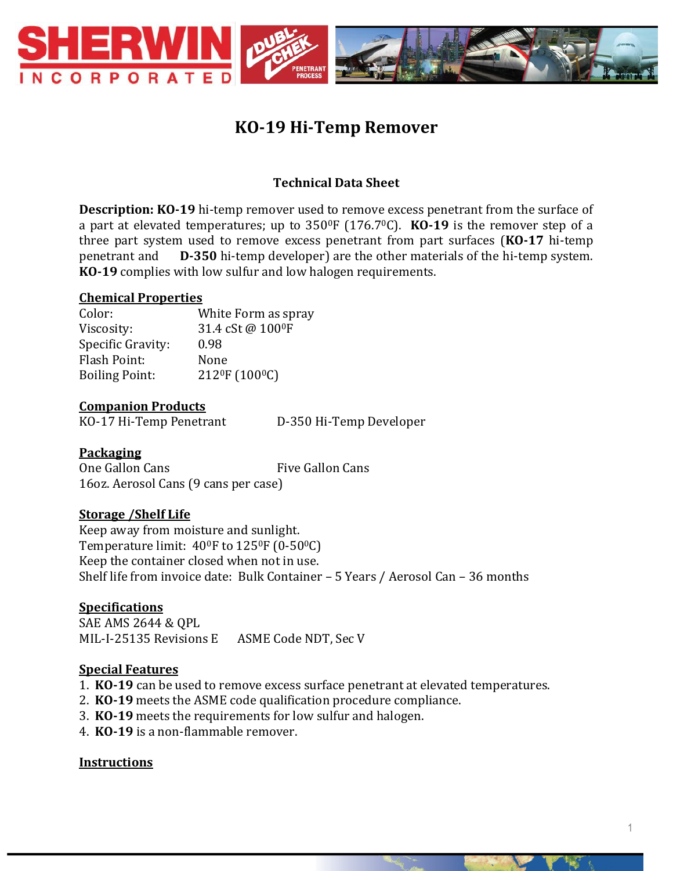

# **KO-19 Hi-Temp Remover**

## **Technical Data Sheet**

**Description: KO-19** hi-temp remover used to remove excess penetrant from the surface of a part at elevated temperatures; up to 3500F (176.70C). **KO-19** is the remover step of a three part system used to remove excess penetrant from part surfaces (**KO-17** hi-temp penetrant and **D-350** hi-temp developer) are the other materials of the hi-temp system. **KO-19** complies with low sulfur and low halogen requirements.

#### **Chemical Properties**

Color: White Form as spray Viscosity: 31.4 cSt @ 100<sup>0</sup>F Specific Gravity: 0.98 Flash Point: None Boiling Point: 212<sup>0</sup>F (100<sup>0</sup>C)

#### **Companion Products**

KO-17 Hi-Temp Penetrant D-350 Hi-Temp Developer

## **Packaging**

One Gallon Cans Five Gallon Cans 16oz. Aerosol Cans (9 cans per case)

## **Storage /Shelf Life**

Keep away from moisture and sunlight. Temperature limit: 40<sup>0</sup>F to 125<sup>0</sup>F (0-50<sup>0</sup>C) Keep the container closed when not in use. Shelf life from invoice date: Bulk Container – 5 Years / Aerosol Can – 36 months

## **Specifications**

SAE AMS 2644 & QPL MIL-I-25135 Revisions E ASME Code NDT, Sec V

## **Special Features**

- 1. **KO-19** can be used to remove excess surface penetrant at elevated temperatures.
- 2. **KO-19** meets the ASME code qualification procedure compliance.
- 3. **KO-19** meets the requirements for low sulfur and halogen.
- 4. **KO-19** is a non-flammable remover.

#### **Instructions**